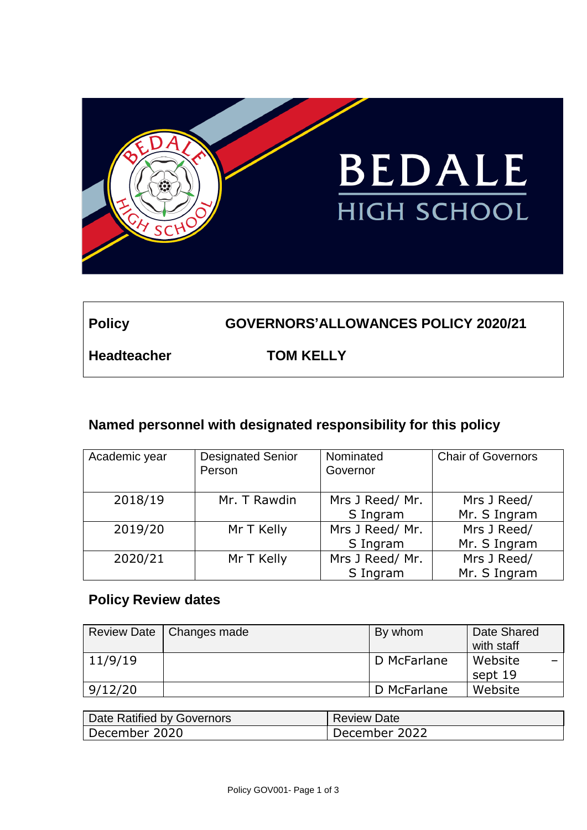

# **Policy GOVERNORS'ALLOWANCES POLICY 2020/21**

**Headteacher TOM KELLY**

# **Named personnel with designated responsibility for this policy**

| Academic year | <b>Designated Senior</b><br>Person | Nominated<br>Governor       | <b>Chair of Governors</b>   |
|---------------|------------------------------------|-----------------------------|-----------------------------|
| 2018/19       | Mr. T Rawdin                       | Mrs J Reed/ Mr.<br>S Ingram | Mrs J Reed/<br>Mr. S Ingram |
| 2019/20       | Mr T Kelly                         | Mrs J Reed/ Mr.<br>S Ingram | Mrs J Reed/<br>Mr. S Ingram |
| 2020/21       | Mr T Kelly                         | Mrs J Reed/ Mr.<br>S Ingram | Mrs J Reed/<br>Mr. S Ingram |

# **Policy Review dates**

|         | Review Date   Changes made | By whom     | Date Shared<br>with staff |
|---------|----------------------------|-------------|---------------------------|
| 11/9/19 |                            | D McFarlane | Website                   |
|         |                            |             | sept 19                   |
| 9/12/20 |                            | D McFarlane | Website                   |

| Date Ratified by Governors | <b>Review Date</b> |
|----------------------------|--------------------|
| ' December 2020            | December 2022      |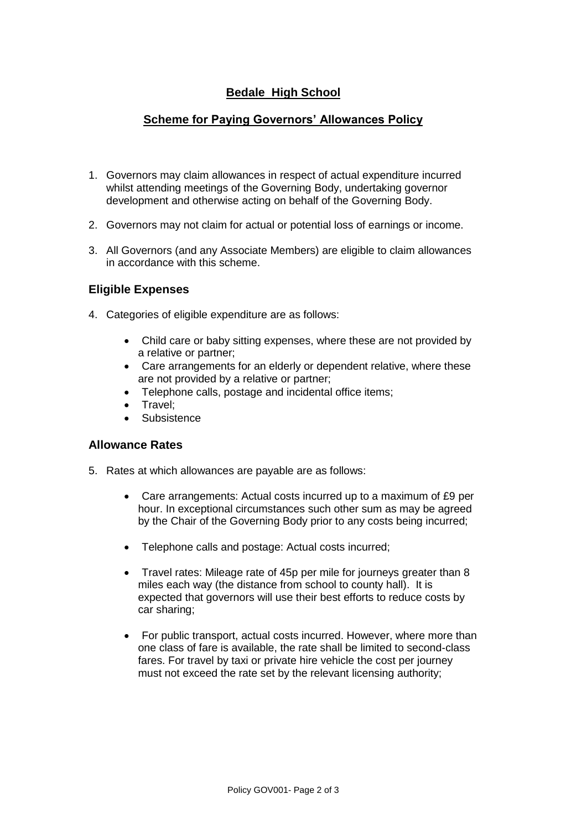# **Bedale High School**

## **Scheme for Paying Governors' Allowances Policy**

- 1. Governors may claim allowances in respect of actual expenditure incurred whilst attending meetings of the Governing Body, undertaking governor development and otherwise acting on behalf of the Governing Body.
- 2. Governors may not claim for actual or potential loss of earnings or income.
- 3. All Governors (and any Associate Members) are eligible to claim allowances in accordance with this scheme.

## **Eligible Expenses**

- 4. Categories of eligible expenditure are as follows:
	- Child care or baby sitting expenses, where these are not provided by a relative or partner;
	- Care arrangements for an elderly or dependent relative, where these are not provided by a relative or partner;
	- Telephone calls, postage and incidental office items;
	- Travel:
	- **Subsistence**

#### **Allowance Rates**

- 5. Rates at which allowances are payable are as follows:
	- Care arrangements: Actual costs incurred up to a maximum of £9 per hour. In exceptional circumstances such other sum as may be agreed by the Chair of the Governing Body prior to any costs being incurred;
	- Telephone calls and postage: Actual costs incurred;
	- Travel rates: Mileage rate of 45p per mile for journeys greater than 8 miles each way (the distance from school to county hall). It is expected that governors will use their best efforts to reduce costs by car sharing;
	- For public transport, actual costs incurred. However, where more than one class of fare is available, the rate shall be limited to second-class fares. For travel by taxi or private hire vehicle the cost per journey must not exceed the rate set by the relevant licensing authority;